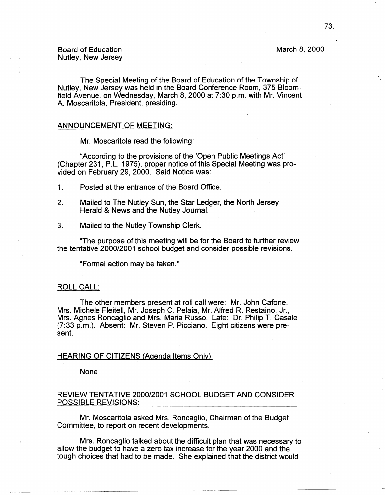March 8, 2000

The Special Meeting of the Board of Education of the Township of Nutley, New Jersey was held in the Board Conference Room, 375 Bloomfield Avenue, on Wednesday, March 8, 2000 at 7:30 p.m. with Mr. Vincent A. Moscaritola, President, presiding.

### ANNOUNCEMENT OF MEETING:

Mr. Moscaritola read the following:

"According to the provisions of the 'Open Public Meetings Act' (Chapter 231, P.L. 1975), proper notice of this Special Meeting was provided on February 29, 2000. Said Notice was:

- 1. Posted at the entrance of the Board Office.
- 2. Mailed to The Nutley Sun, the Star Ledger, the North Jersey Herald & News and the Nutley Journal.
- 3. Mailed to the Nutley Township Clerk.

"The purpose of this meeting will be for the Board to further review the tentative 2000/2001 school budget and consider possible revisions.

"Formal action may be taken."

### ROLL CALL:

The other members present at roll call were: Mr. John Cafone, Mrs. Michele Fleitell, Mr. Joseph C. Pelaia, Mr. Alfred R. Restaino, Jr., Mrs. Agnes Roncaglio and Mrs. Maria Russo. Late: Dr. Philip T. Casale (7:33 p.m.). Absent: Mr. Steven P. Picciano. Eight citizens were present.

## HEARING OF CITIZENS (Agenda Items Only):

None

# REVIEW TENTATIVE 2000/2001 SCHOOL BUDGET AND CONSIDER POSSIBLE REVISIONS:

Mr. Moscaritola asked Mrs. Roncaglio, Chairman of the Budget Committee, to report on recent developments.

Mrs. Roncaglio talked about the difficult plan that was necessary to allow the budget to have a zero tax increase for the year 2000 and the tough choices that had to be made. She explained that the district would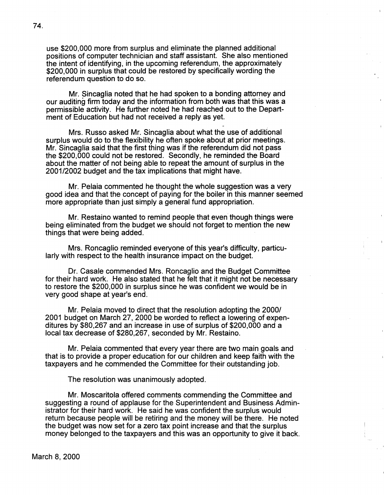use \$200,000 more from surplus and eliminate the planned additional positions of computer technician and staff assistant. She also mentioned the intent of identifying, in the upcoming referendum, the approximately \$200,000 in surplus that could be restored by specifically wording the referendum question to do so.

Mr. Sincaglia noted that he had spoken to a bonding attorney and our auditing firm today and the information from both was that this was a permissible activity. He further noted he had reached out to the Department of Education but had not received a reply as yet.

Mrs. Russo asked Mr. Sincaglia about what the use of additional surplus would do to the flexibility he often spoke about at prior meetings. Mr. Sincaglia said that the first thing was if the referendum did not pass the \$200,000 could not be restored. Secondly, he reminded the Board about the matter of not being able to repeat the amount of surplus in the 2001/2002 budget and the tax implications that might have.

Mr. Pelaia commented he thought the whole suggestion was a very good idea and that the concept of paying for the boiler in this manner seemed more appropriate than just simply a general fund appropriation.

Mr. Restaino wanted to remind people that even though things were being eliminated from the budget we should not forget to mention the new things that were being added.

Mrs. Roncaglio reminded everyone of this year's difficulty, particularly with respect to the health insurance impact on the budget.

Dr. Casale commended Mrs. Roncaglio and the Budget Committee for their hard work. He also stated that he felt that it might not be necessary to restore the \$200,000 in surplus since he was confident we would be in very good shape at year's end.

Mr. Pelaia moved to direct that the resolution adopting the 2000/ 2001 budget on March 27, 2000 be worded to reflect a lowering of expenditures by \$80,267 and an increase in use of surplus of \$200,000 and a local tax decrease of \$280,267, seconded by Mr. Restaino.

Mr. Pelaia commented that every year there are two main goals and that is to provide a proper education for our children and keep faith with the taxpayers and he commended the Committee for their outstanding job.

The resolution was unanimously adopted.

Mr. Moscaritola offered comments commending the Committee and suggesting a round of applause for the Superintendent and Business Administrator for their hard work. He said he was confident the surplus would return because people will be retiring and the money will be there. He noted the budget was now set for a zero tax point increase and that the surplus money belonged to the taxpayers and this was an opportunity to give it back.